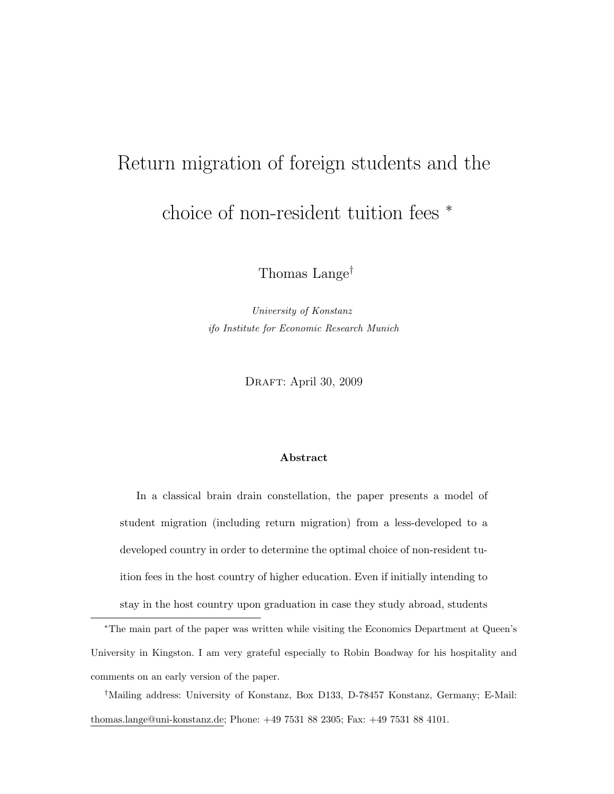# Return migration of foreign students and the choice of non-resident tuition fees <sup>∗</sup>

Thomas Lange†

University of Konstanz ifo Institute for Economic Research Munich

DRAFT: April 30, 2009

#### Abstract

In a classical brain drain constellation, the paper presents a model of student migration (including return migration) from a less-developed to a developed country in order to determine the optimal choice of non-resident tuition fees in the host country of higher education. Even if initially intending to stay in the host country upon graduation in case they study abroad, students

<sup>∗</sup>The main part of the paper was written while visiting the Economics Department at Queen's University in Kingston. I am very grateful especially to Robin Boadway for his hospitality and comments on an early version of the paper.

†Mailing address: University of Konstanz, Box D133, D-78457 Konstanz, Germany; E-Mail: thomas.lange@uni-konstanz.de; Phone: +49 7531 88 2305; Fax: +49 7531 88 4101.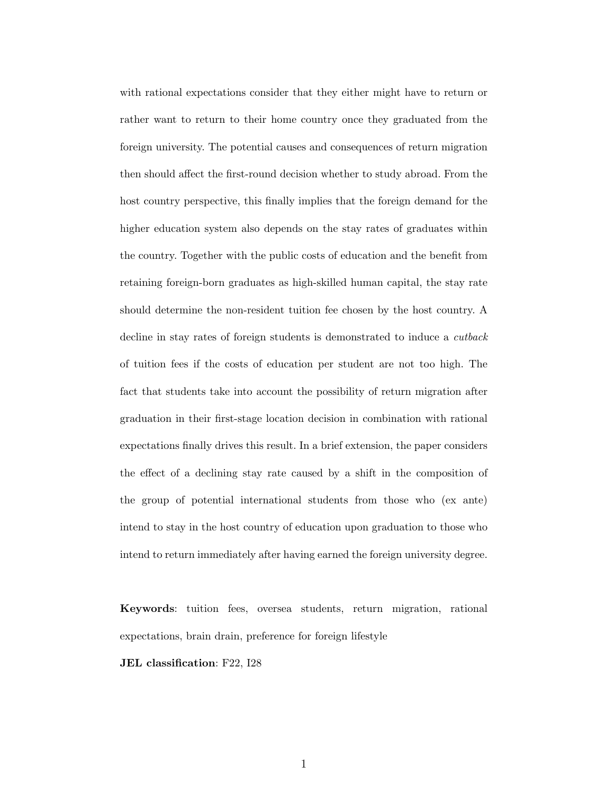with rational expectations consider that they either might have to return or rather want to return to their home country once they graduated from the foreign university. The potential causes and consequences of return migration then should affect the first-round decision whether to study abroad. From the host country perspective, this finally implies that the foreign demand for the higher education system also depends on the stay rates of graduates within the country. Together with the public costs of education and the benefit from retaining foreign-born graduates as high-skilled human capital, the stay rate should determine the non-resident tuition fee chosen by the host country. A decline in stay rates of foreign students is demonstrated to induce a cutback of tuition fees if the costs of education per student are not too high. The fact that students take into account the possibility of return migration after graduation in their first-stage location decision in combination with rational expectations finally drives this result. In a brief extension, the paper considers the effect of a declining stay rate caused by a shift in the composition of the group of potential international students from those who (ex ante) intend to stay in the host country of education upon graduation to those who intend to return immediately after having earned the foreign university degree.

Keywords: tuition fees, oversea students, return migration, rational expectations, brain drain, preference for foreign lifestyle

JEL classification: F22, I28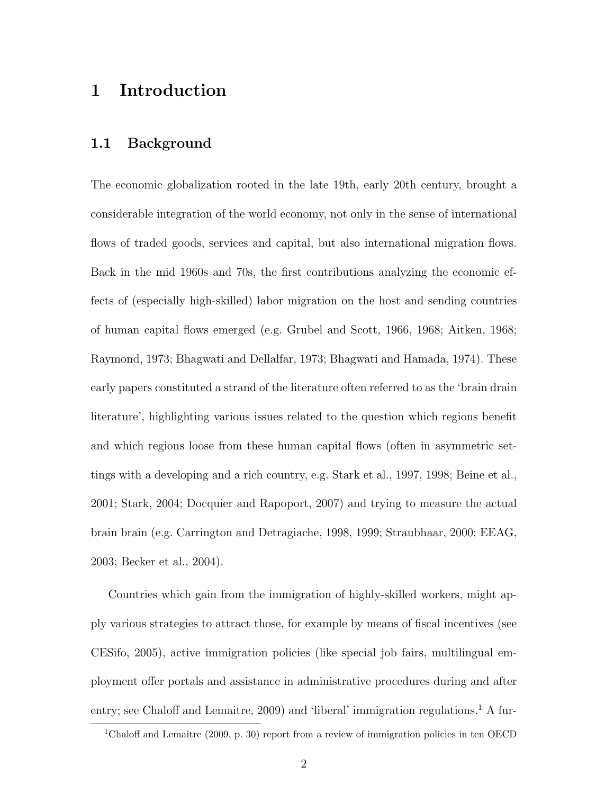## 1 Introduction

#### 1.1 Background

The economic globalization rooted in the late 19th, early 20th century, brought a considerable integration of the world economy, not only in the sense of international flows of traded goods, services and capital, but also international migration flows. Back in the mid 1960s and 70s, the first contributions analyzing the economic effects of (especially high-skilled) labor migration on the host and sending countries of human capital flows emerged (e.g. Grubel and Scott, 1966, 1968; Aitken, 1968; Raymond, 1973; Bhagwati and Dellalfar, 1973; Bhagwati and Hamada, 1974). These early papers constituted a strand of the literature often referred to as the 'brain drain literature', highlighting various issues related to the question which regions benefit and which regions loose from these human capital flows (often in asymmetric settings with a developing and a rich country, e.g. Stark et al., 1997, 1998; Beine et al., 2001; Stark, 2004; Docquier and Rapoport, 2007) and trying to measure the actual brain brain (e.g. Carrington and Detragiache, 1998, 1999; Straubhaar, 2000; EEAG, 2003; Becker et al., 2004).

Countries which gain from the immigration of highly-skilled workers, might apply various strategies to attract those, for example by means of fiscal incentives (see CESifo, 2005), active immigration policies (like special job fairs, multilingual employment offer portals and assistance in administrative procedures during and after entry; see Chaloff and Lemaitre, 2009) and 'liberal' immigration regulations.<sup>1</sup> A fur-

<sup>1</sup>Chaloff and Lemaitre (2009, p. 30) report from a review of immigration policies in ten OECD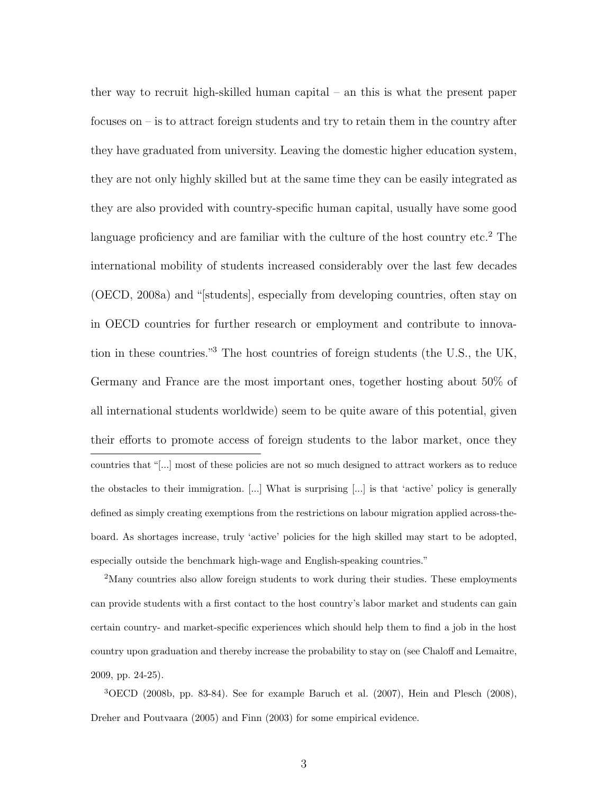ther way to recruit high-skilled human capital – an this is what the present paper focuses on – is to attract foreign students and try to retain them in the country after they have graduated from university. Leaving the domestic higher education system, they are not only highly skilled but at the same time they can be easily integrated as they are also provided with country-specific human capital, usually have some good language proficiency and are familiar with the culture of the host country etc.<sup>2</sup> The international mobility of students increased considerably over the last few decades (OECD, 2008a) and "[students], especially from developing countries, often stay on in OECD countries for further research or employment and contribute to innovation in these countries."<sup>3</sup> The host countries of foreign students (the U.S., the UK, Germany and France are the most important ones, together hosting about 50% of all international students worldwide) seem to be quite aware of this potential, given their efforts to promote access of foreign students to the labor market, once they countries that "[...] most of these policies are not so much designed to attract workers as to reduce the obstacles to their immigration. [...] What is surprising [...] is that 'active' policy is generally defined as simply creating exemptions from the restrictions on labour migration applied across-theboard. As shortages increase, truly 'active' policies for the high skilled may start to be adopted, especially outside the benchmark high-wage and English-speaking countries."

<sup>2</sup>Many countries also allow foreign students to work during their studies. These employments can provide students with a first contact to the host country's labor market and students can gain certain country- and market-specific experiences which should help them to find a job in the host country upon graduation and thereby increase the probability to stay on (see Chaloff and Lemaitre, 2009, pp. 24-25).

<sup>3</sup>OECD (2008b, pp. 83-84). See for example Baruch et al. (2007), Hein and Plesch (2008), Dreher and Poutvaara (2005) and Finn (2003) for some empirical evidence.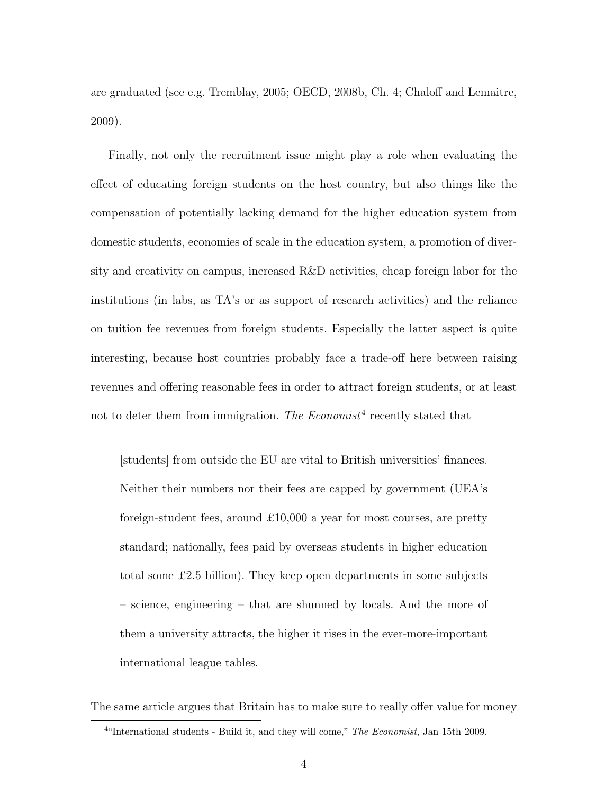are graduated (see e.g. Tremblay, 2005; OECD, 2008b, Ch. 4; Chaloff and Lemaitre, 2009).

Finally, not only the recruitment issue might play a role when evaluating the effect of educating foreign students on the host country, but also things like the compensation of potentially lacking demand for the higher education system from domestic students, economies of scale in the education system, a promotion of diversity and creativity on campus, increased R&D activities, cheap foreign labor for the institutions (in labs, as TA's or as support of research activities) and the reliance on tuition fee revenues from foreign students. Especially the latter aspect is quite interesting, because host countries probably face a trade-off here between raising revenues and offering reasonable fees in order to attract foreign students, or at least not to deter them from immigration. The Economist<sup>4</sup> recently stated that

[students] from outside the EU are vital to British universities' finances. Neither their numbers nor their fees are capped by government (UEA's foreign-student fees, around £10,000 a year for most courses, are pretty standard; nationally, fees paid by overseas students in higher education total some £2.5 billion). They keep open departments in some subjects – science, engineering – that are shunned by locals. And the more of them a university attracts, the higher it rises in the ever-more-important international league tables.

The same article argues that Britain has to make sure to really offer value for money

 $4$ "International students - Build it, and they will come," The Economist, Jan 15th 2009.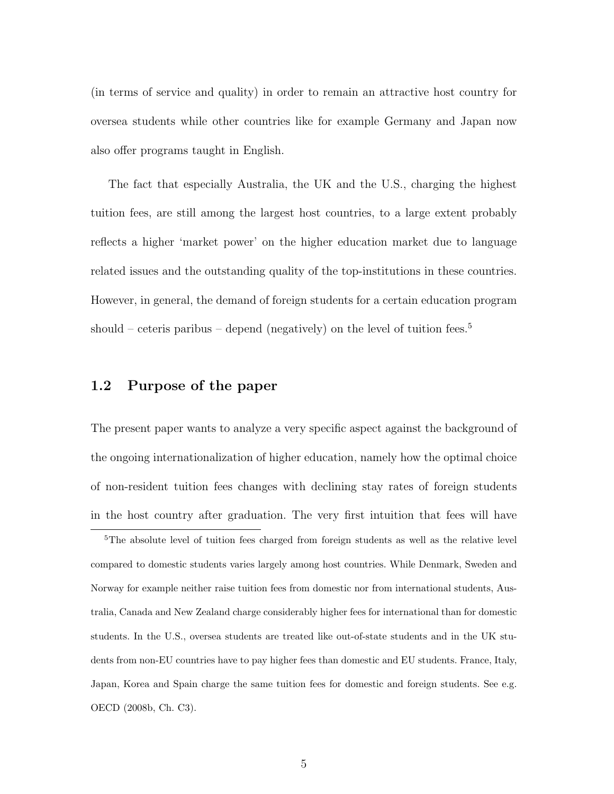(in terms of service and quality) in order to remain an attractive host country for oversea students while other countries like for example Germany and Japan now also offer programs taught in English.

The fact that especially Australia, the UK and the U.S., charging the highest tuition fees, are still among the largest host countries, to a large extent probably reflects a higher 'market power' on the higher education market due to language related issues and the outstanding quality of the top-institutions in these countries. However, in general, the demand of foreign students for a certain education program should – ceteris paribus – depend (negatively) on the level of tuition fees.<sup>5</sup>

#### 1.2 Purpose of the paper

The present paper wants to analyze a very specific aspect against the background of the ongoing internationalization of higher education, namely how the optimal choice of non-resident tuition fees changes with declining stay rates of foreign students in the host country after graduation. The very first intuition that fees will have

<sup>&</sup>lt;sup>5</sup>The absolute level of tuition fees charged from foreign students as well as the relative level compared to domestic students varies largely among host countries. While Denmark, Sweden and Norway for example neither raise tuition fees from domestic nor from international students, Australia, Canada and New Zealand charge considerably higher fees for international than for domestic students. In the U.S., oversea students are treated like out-of-state students and in the UK students from non-EU countries have to pay higher fees than domestic and EU students. France, Italy, Japan, Korea and Spain charge the same tuition fees for domestic and foreign students. See e.g. OECD (2008b, Ch. C3).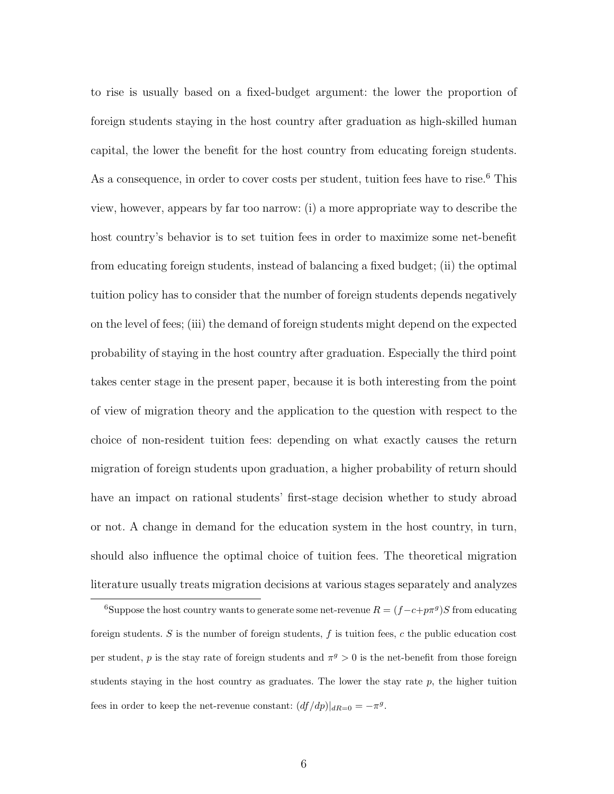to rise is usually based on a fixed-budget argument: the lower the proportion of foreign students staying in the host country after graduation as high-skilled human capital, the lower the benefit for the host country from educating foreign students. As a consequence, in order to cover costs per student, tuition fees have to rise.<sup>6</sup> This view, however, appears by far too narrow: (i) a more appropriate way to describe the host country's behavior is to set tuition fees in order to maximize some net-benefit from educating foreign students, instead of balancing a fixed budget; (ii) the optimal tuition policy has to consider that the number of foreign students depends negatively on the level of fees; (iii) the demand of foreign students might depend on the expected probability of staying in the host country after graduation. Especially the third point takes center stage in the present paper, because it is both interesting from the point of view of migration theory and the application to the question with respect to the choice of non-resident tuition fees: depending on what exactly causes the return migration of foreign students upon graduation, a higher probability of return should have an impact on rational students' first-stage decision whether to study abroad or not. A change in demand for the education system in the host country, in turn, should also influence the optimal choice of tuition fees. The theoretical migration literature usually treats migration decisions at various stages separately and analyzes

<sup>&</sup>lt;sup>6</sup>Suppose the host country wants to generate some net-revenue  $R = (f - c + p\pi^g)S$  from educating foreign students.  $S$  is the number of foreign students,  $f$  is tuition fees,  $c$  the public education cost per student, p is the stay rate of foreign students and  $\pi^g > 0$  is the net-benefit from those foreign students staying in the host country as graduates. The lower the stay rate  $p$ , the higher tuition fees in order to keep the net-revenue constant:  $\left( \frac{df}{dp} \right) \Big|_{dR=0} = -\pi^g$ .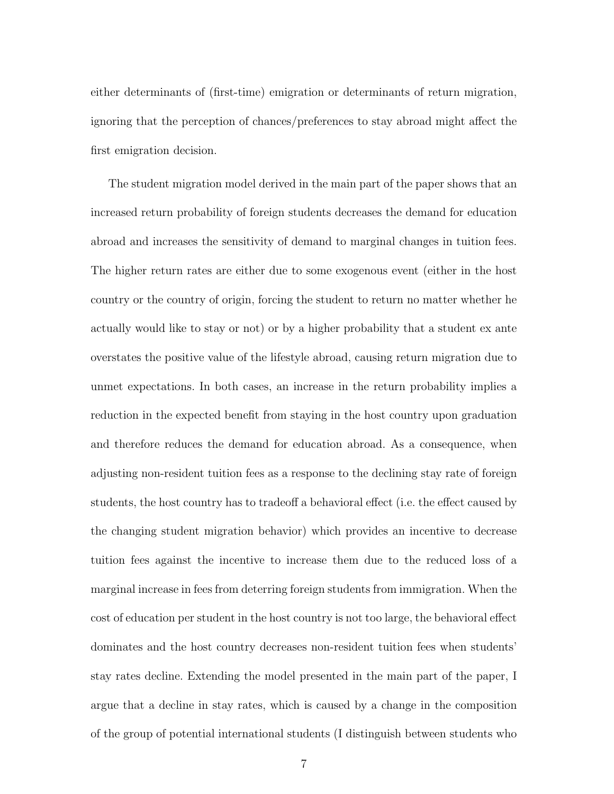either determinants of (first-time) emigration or determinants of return migration, ignoring that the perception of chances/preferences to stay abroad might affect the first emigration decision.

The student migration model derived in the main part of the paper shows that an increased return probability of foreign students decreases the demand for education abroad and increases the sensitivity of demand to marginal changes in tuition fees. The higher return rates are either due to some exogenous event (either in the host country or the country of origin, forcing the student to return no matter whether he actually would like to stay or not) or by a higher probability that a student ex ante overstates the positive value of the lifestyle abroad, causing return migration due to unmet expectations. In both cases, an increase in the return probability implies a reduction in the expected benefit from staying in the host country upon graduation and therefore reduces the demand for education abroad. As a consequence, when adjusting non-resident tuition fees as a response to the declining stay rate of foreign students, the host country has to tradeoff a behavioral effect (i.e. the effect caused by the changing student migration behavior) which provides an incentive to decrease tuition fees against the incentive to increase them due to the reduced loss of a marginal increase in fees from deterring foreign students from immigration. When the cost of education per student in the host country is not too large, the behavioral effect dominates and the host country decreases non-resident tuition fees when students' stay rates decline. Extending the model presented in the main part of the paper, I argue that a decline in stay rates, which is caused by a change in the composition of the group of potential international students (I distinguish between students who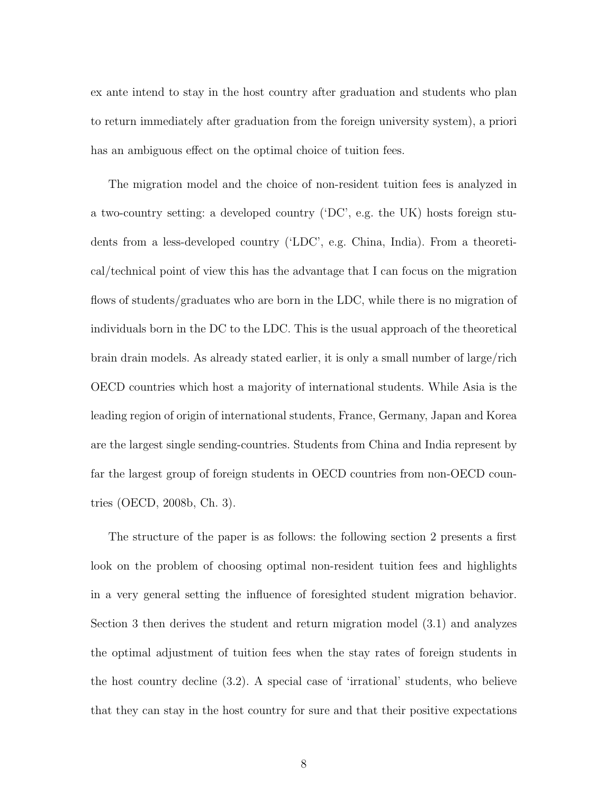ex ante intend to stay in the host country after graduation and students who plan to return immediately after graduation from the foreign university system), a priori has an ambiguous effect on the optimal choice of tuition fees.

The migration model and the choice of non-resident tuition fees is analyzed in a two-country setting: a developed country ('DC', e.g. the UK) hosts foreign students from a less-developed country ('LDC', e.g. China, India). From a theoretical/technical point of view this has the advantage that I can focus on the migration flows of students/graduates who are born in the LDC, while there is no migration of individuals born in the DC to the LDC. This is the usual approach of the theoretical brain drain models. As already stated earlier, it is only a small number of large/rich OECD countries which host a majority of international students. While Asia is the leading region of origin of international students, France, Germany, Japan and Korea are the largest single sending-countries. Students from China and India represent by far the largest group of foreign students in OECD countries from non-OECD countries (OECD, 2008b, Ch. 3).

The structure of the paper is as follows: the following section 2 presents a first look on the problem of choosing optimal non-resident tuition fees and highlights in a very general setting the influence of foresighted student migration behavior. Section 3 then derives the student and return migration model (3.1) and analyzes the optimal adjustment of tuition fees when the stay rates of foreign students in the host country decline (3.2). A special case of 'irrational' students, who believe that they can stay in the host country for sure and that their positive expectations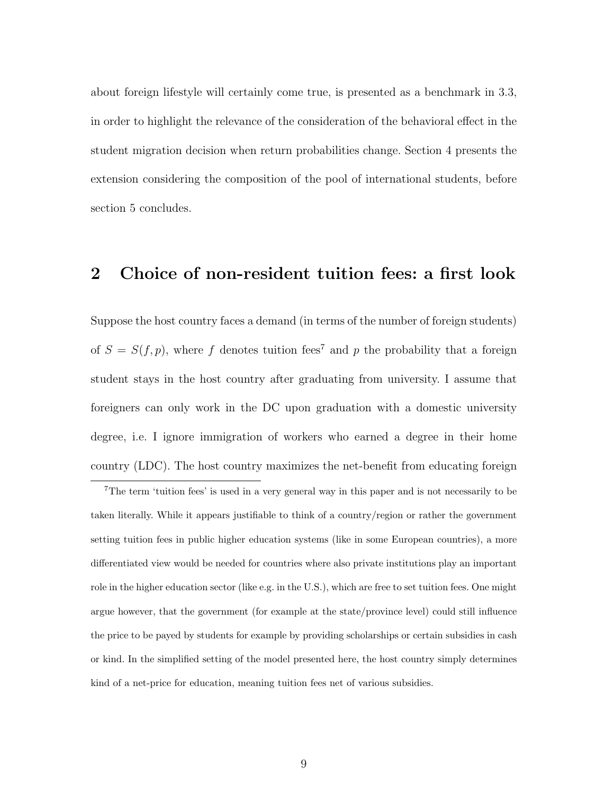about foreign lifestyle will certainly come true, is presented as a benchmark in 3.3, in order to highlight the relevance of the consideration of the behavioral effect in the student migration decision when return probabilities change. Section 4 presents the extension considering the composition of the pool of international students, before section 5 concludes.

### 2 Choice of non-resident tuition fees: a first look

Suppose the host country faces a demand (in terms of the number of foreign students) of  $S = S(f, p)$ , where f denotes tuition fees<sup>7</sup> and p the probability that a foreign student stays in the host country after graduating from university. I assume that foreigners can only work in the DC upon graduation with a domestic university degree, i.e. I ignore immigration of workers who earned a degree in their home country (LDC). The host country maximizes the net-benefit from educating foreign

<sup>&</sup>lt;sup>7</sup>The term 'tuition fees' is used in a very general way in this paper and is not necessarily to be taken literally. While it appears justifiable to think of a country/region or rather the government setting tuition fees in public higher education systems (like in some European countries), a more differentiated view would be needed for countries where also private institutions play an important role in the higher education sector (like e.g. in the U.S.), which are free to set tuition fees. One might argue however, that the government (for example at the state/province level) could still influence the price to be payed by students for example by providing scholarships or certain subsidies in cash or kind. In the simplified setting of the model presented here, the host country simply determines kind of a net-price for education, meaning tuition fees net of various subsidies.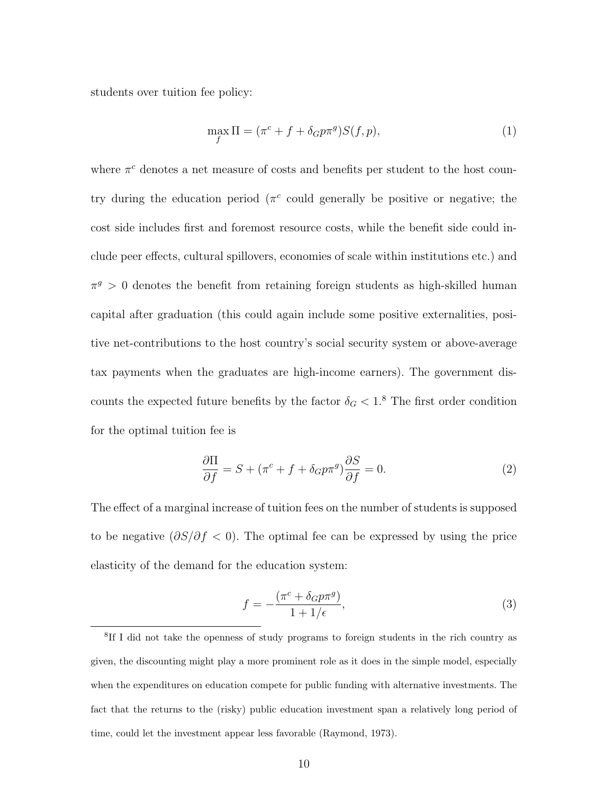students over tuition fee policy:

$$
\max_{f} \Pi = (\pi^{c} + f + \delta_{G} p \pi^{g}) S(f, p), \qquad (1)
$$

where  $\pi^c$  denotes a net measure of costs and benefits per student to the host country during the education period ( $\pi^c$  could generally be positive or negative; the cost side includes first and foremost resource costs, while the benefit side could include peer effects, cultural spillovers, economies of scale within institutions etc.) and  $\pi^g > 0$  denotes the benefit from retaining foreign students as high-skilled human capital after graduation (this could again include some positive externalities, positive net-contributions to the host country's social security system or above-average tax payments when the graduates are high-income earners). The government discounts the expected future benefits by the factor  $\delta_G < 1.8$  The first order condition for the optimal tuition fee is

$$
\frac{\partial \Pi}{\partial f} = S + (\pi^c + f + \delta_G p \pi^g) \frac{\partial S}{\partial f} = 0.
$$
 (2)

The effect of a marginal increase of tuition fees on the number of students is supposed to be negative  $(\partial S/\partial f < 0)$ . The optimal fee can be expressed by using the price elasticity of the demand for the education system:

$$
f = -\frac{(\pi^c + \delta_G p \pi^g)}{1 + 1/\epsilon},\tag{3}
$$

<sup>8</sup> If I did not take the openness of study programs to foreign students in the rich country as given, the discounting might play a more prominent role as it does in the simple model, especially when the expenditures on education compete for public funding with alternative investments. The fact that the returns to the (risky) public education investment span a relatively long period of time, could let the investment appear less favorable (Raymond, 1973).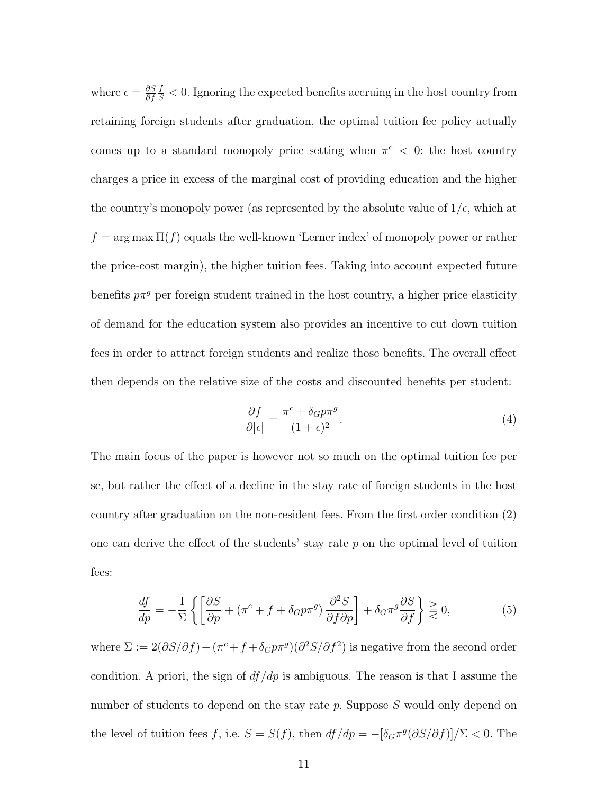where  $\epsilon = \frac{\partial S}{\partial f}$ ∂f  $\frac{f}{S}$  < 0. Ignoring the expected benefits accruing in the host country from retaining foreign students after graduation, the optimal tuition fee policy actually comes up to a standard monopoly price setting when  $\pi^c < 0$ : the host country charges a price in excess of the marginal cost of providing education and the higher the country's monopoly power (as represented by the absolute value of  $1/\epsilon$ , which at  $f = \arg \max \Pi(f)$  equals the well-known 'Lerner index' of monopoly power or rather the price-cost margin), the higher tuition fees. Taking into account expected future benefits  $p\pi^{g}$  per foreign student trained in the host country, a higher price elasticity of demand for the education system also provides an incentive to cut down tuition fees in order to attract foreign students and realize those benefits. The overall effect then depends on the relative size of the costs and discounted benefits per student:

$$
\frac{\partial f}{\partial |\epsilon|} = \frac{\pi^c + \delta_G p \pi^g}{(1 + \epsilon)^2}.
$$
\n(4)

The main focus of the paper is however not so much on the optimal tuition fee per se, but rather the effect of a decline in the stay rate of foreign students in the host country after graduation on the non-resident fees. From the first order condition (2) one can derive the effect of the students' stay rate  $p$  on the optimal level of tuition fees:

$$
\frac{df}{dp} = -\frac{1}{\Sigma} \left\{ \left[ \frac{\partial S}{\partial p} + (\pi^c + f + \delta_G p \pi^g) \frac{\partial^2 S}{\partial f \partial p} \right] + \delta_G \pi^g \frac{\partial S}{\partial f} \right\} \geq 0,
$$
\n(5)

where  $\Sigma := 2(\partial S/\partial f) + (\pi^c + f + \delta_G p\pi^g)(\partial^2 S/\partial f^2)$  is negative from the second order condition. A priori, the sign of  $df/dp$  is ambiguous. The reason is that I assume the number of students to depend on the stay rate p. Suppose S would only depend on the level of tuition fees f, i.e.  $S = S(f)$ , then  $df/dp = -[\delta_G \pi^g (\partial S/\partial f)]/\Sigma < 0$ . The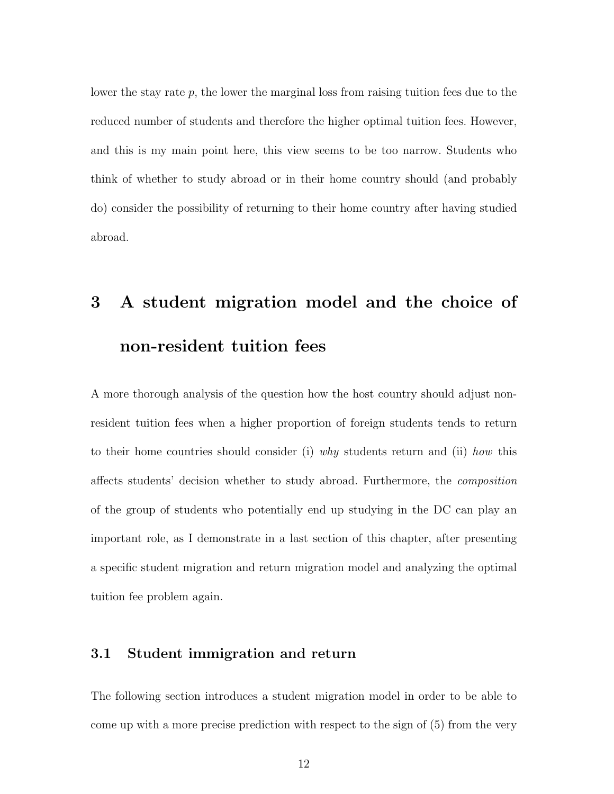lower the stay rate  $p$ , the lower the marginal loss from raising tuition fees due to the reduced number of students and therefore the higher optimal tuition fees. However, and this is my main point here, this view seems to be too narrow. Students who think of whether to study abroad or in their home country should (and probably do) consider the possibility of returning to their home country after having studied abroad.

## 3 A student migration model and the choice of non-resident tuition fees

A more thorough analysis of the question how the host country should adjust nonresident tuition fees when a higher proportion of foreign students tends to return to their home countries should consider (i) why students return and (ii) how this affects students' decision whether to study abroad. Furthermore, the composition of the group of students who potentially end up studying in the DC can play an important role, as I demonstrate in a last section of this chapter, after presenting a specific student migration and return migration model and analyzing the optimal tuition fee problem again.

#### 3.1 Student immigration and return

The following section introduces a student migration model in order to be able to come up with a more precise prediction with respect to the sign of (5) from the very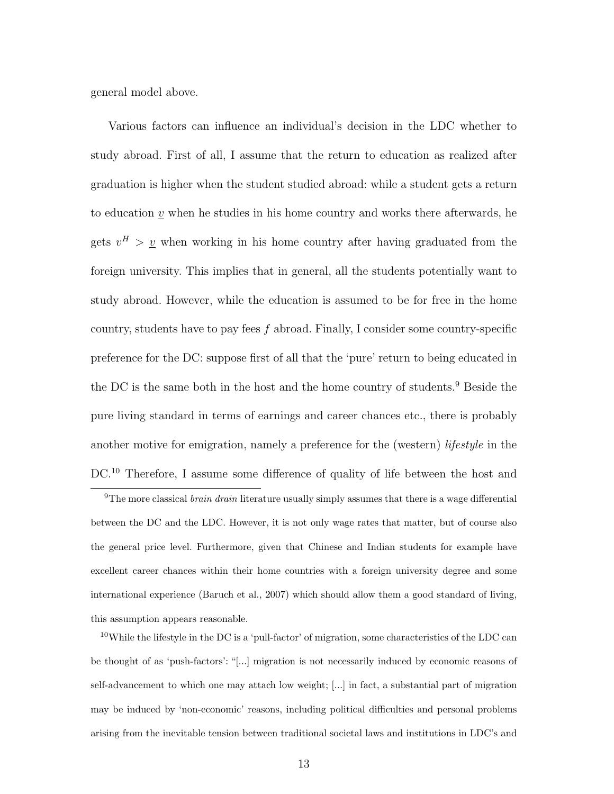general model above.

Various factors can influence an individual's decision in the LDC whether to study abroad. First of all, I assume that the return to education as realized after graduation is higher when the student studied abroad: while a student gets a return to education  $\underline{v}$  when he studies in his home country and works there afterwards, he gets  $v^H$  >  $\underline{v}$  when working in his home country after having graduated from the foreign university. This implies that in general, all the students potentially want to study abroad. However, while the education is assumed to be for free in the home country, students have to pay fees f abroad. Finally, I consider some country-specific preference for the DC: suppose first of all that the 'pure' return to being educated in the DC is the same both in the host and the home country of students.<sup>9</sup> Beside the pure living standard in terms of earnings and career chances etc., there is probably another motive for emigration, namely a preference for the (western) *lifestyle* in the DC.<sup>10</sup> Therefore, I assume some difference of quality of life between the host and

<sup>9</sup>The more classical *brain drain* literature usually simply assumes that there is a wage differential between the DC and the LDC. However, it is not only wage rates that matter, but of course also the general price level. Furthermore, given that Chinese and Indian students for example have excellent career chances within their home countries with a foreign university degree and some international experience (Baruch et al., 2007) which should allow them a good standard of living, this assumption appears reasonable.

<sup>10</sup>While the lifestyle in the DC is a 'pull-factor' of migration, some characteristics of the LDC can be thought of as 'push-factors': "[...] migration is not necessarily induced by economic reasons of self-advancement to which one may attach low weight; [...] in fact, a substantial part of migration may be induced by 'non-economic' reasons, including political difficulties and personal problems arising from the inevitable tension between traditional societal laws and institutions in LDC's and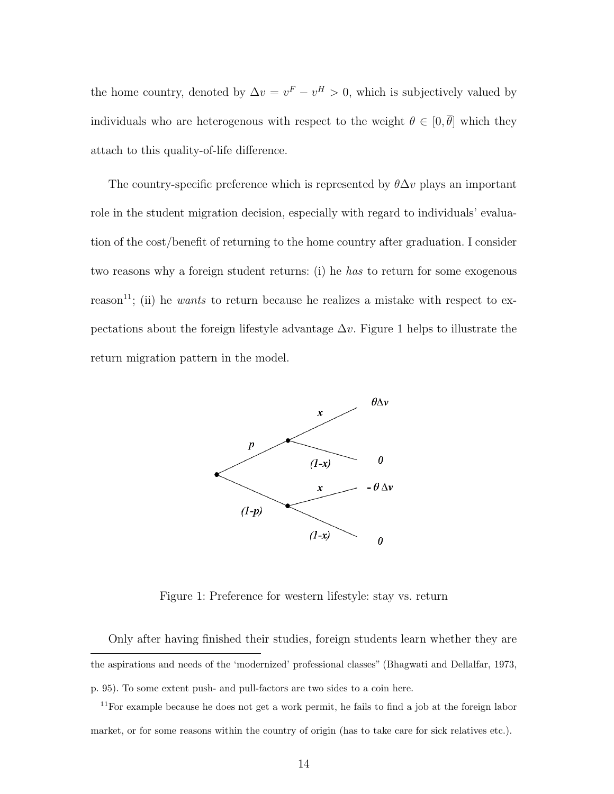the home country, denoted by  $\Delta v = v^F - v^H > 0$ , which is subjectively valued by individuals who are heterogenous with respect to the weight  $\theta \in [0, \overline{\theta}]$  which they attach to this quality-of-life difference.

The country-specific preference which is represented by  $\theta \Delta v$  plays an important role in the student migration decision, especially with regard to individuals' evaluation of the cost/benefit of returning to the home country after graduation. I consider two reasons why a foreign student returns: (i) he has to return for some exogenous reason<sup>11</sup>; (ii) he *wants* to return because he realizes a mistake with respect to expectations about the foreign lifestyle advantage  $\Delta v$ . Figure 1 helps to illustrate the return migration pattern in the model.



Figure 1: Preference for western lifestyle: stay vs. return

Only after having finished their studies, foreign students learn whether they are the aspirations and needs of the 'modernized' professional classes" (Bhagwati and Dellalfar, 1973, p. 95). To some extent push- and pull-factors are two sides to a coin here.

 $11$ For example because he does not get a work permit, he fails to find a job at the foreign labor market, or for some reasons within the country of origin (has to take care for sick relatives etc.).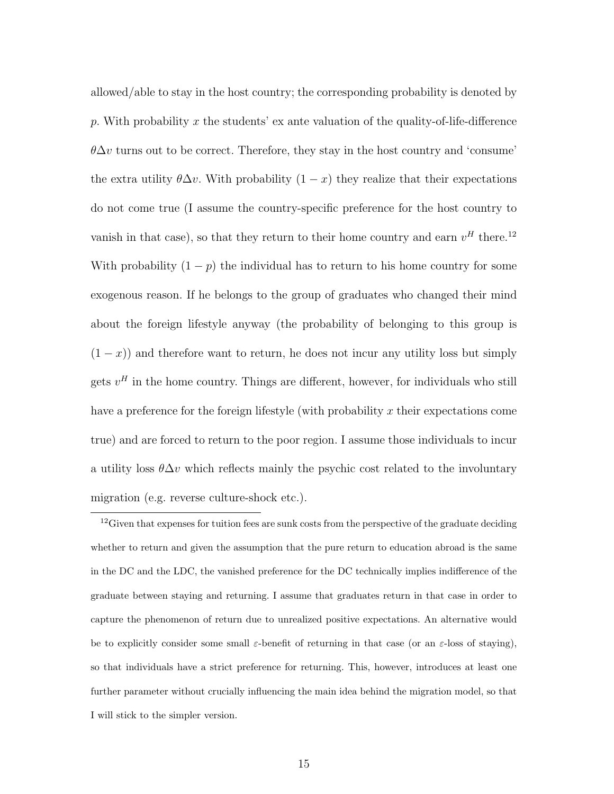allowed/able to stay in the host country; the corresponding probability is denoted by p. With probability x the students' ex ante valuation of the quality-of-life-difference  $\theta \Delta v$  turns out to be correct. Therefore, they stay in the host country and 'consume' the extra utility  $\theta \Delta v$ . With probability  $(1 - x)$  they realize that their expectations do not come true (I assume the country-specific preference for the host country to vanish in that case), so that they return to their home country and earn  $v^H$  there.<sup>12</sup> With probability  $(1 - p)$  the individual has to return to his home country for some exogenous reason. If he belongs to the group of graduates who changed their mind about the foreign lifestyle anyway (the probability of belonging to this group is  $(1-x)$  and therefore want to return, he does not incur any utility loss but simply gets  $v^H$  in the home country. Things are different, however, for individuals who still have a preference for the foreign lifestyle (with probability x their expectations come true) and are forced to return to the poor region. I assume those individuals to incur a utility loss  $\theta \Delta v$  which reflects mainly the psychic cost related to the involuntary migration (e.g. reverse culture-shock etc.).

<sup>&</sup>lt;sup>12</sup>Given that expenses for tuition fees are sunk costs from the perspective of the graduate deciding whether to return and given the assumption that the pure return to education abroad is the same in the DC and the LDC, the vanished preference for the DC technically implies indifference of the graduate between staying and returning. I assume that graduates return in that case in order to capture the phenomenon of return due to unrealized positive expectations. An alternative would be to explicitly consider some small  $\varepsilon$ -benefit of returning in that case (or an  $\varepsilon$ -loss of staying), so that individuals have a strict preference for returning. This, however, introduces at least one further parameter without crucially influencing the main idea behind the migration model, so that I will stick to the simpler version.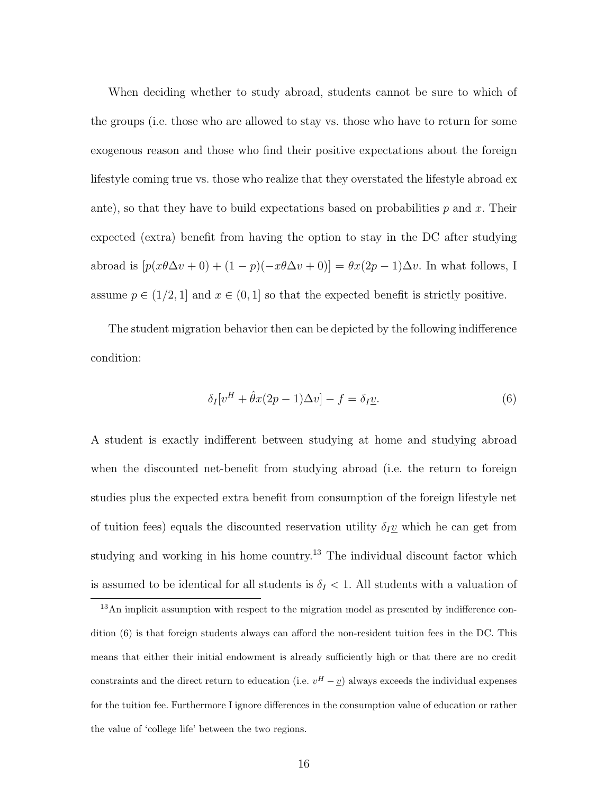When deciding whether to study abroad, students cannot be sure to which of the groups (i.e. those who are allowed to stay vs. those who have to return for some exogenous reason and those who find their positive expectations about the foreign lifestyle coming true vs. those who realize that they overstated the lifestyle abroad ex ante), so that they have to build expectations based on probabilities  $p$  and  $x$ . Their expected (extra) benefit from having the option to stay in the DC after studying abroad is  $[p(x\theta\Delta v + 0) + (1 - p)(-x\theta\Delta v + 0)] = \theta x(2p - 1)\Delta v$ . In what follows, I assume  $p \in (1/2, 1]$  and  $x \in (0, 1]$  so that the expected benefit is strictly positive.

The student migration behavior then can be depicted by the following indifference condition:

$$
\delta_I[v^H + \hat{\theta}x(2p - 1)\Delta v] - f = \delta_I \underline{v}.
$$
\n(6)

A student is exactly indifferent between studying at home and studying abroad when the discounted net-benefit from studying abroad (i.e. the return to foreign studies plus the expected extra benefit from consumption of the foreign lifestyle net of tuition fees) equals the discounted reservation utility  $\delta_I \underline{v}$  which he can get from studying and working in his home country.<sup>13</sup> The individual discount factor which is assumed to be identical for all students is  $\delta_I < 1$ . All students with a valuation of

<sup>13</sup>An implicit assumption with respect to the migration model as presented by indifference condition (6) is that foreign students always can afford the non-resident tuition fees in the DC. This means that either their initial endowment is already sufficiently high or that there are no credit constraints and the direct return to education (i.e.  $v^H - v$ ) always exceeds the individual expenses for the tuition fee. Furthermore I ignore differences in the consumption value of education or rather the value of 'college life' between the two regions.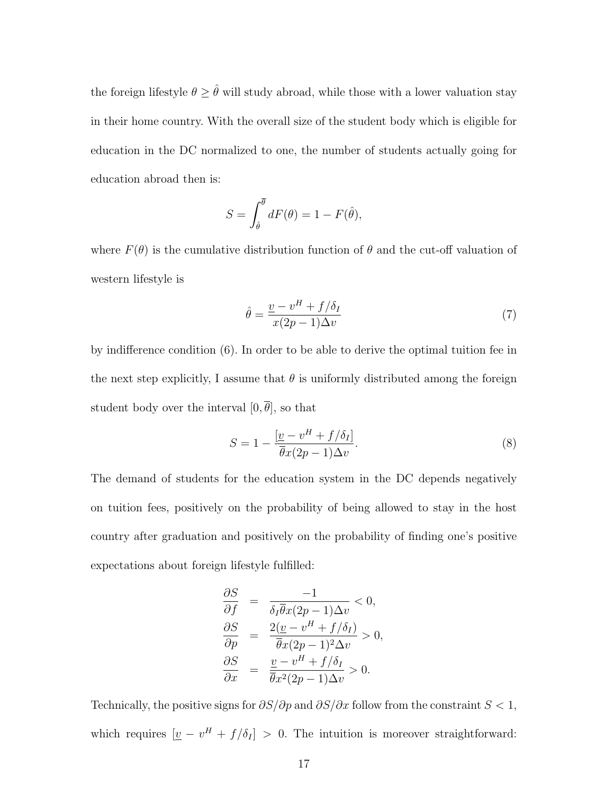the foreign lifestyle  $\theta \geq \hat{\theta}$  will study abroad, while those with a lower valuation stay in their home country. With the overall size of the student body which is eligible for education in the DC normalized to one, the number of students actually going for education abroad then is:

$$
S = \int_{\hat{\theta}}^{\overline{\theta}} dF(\theta) = 1 - F(\hat{\theta}),
$$

where  $F(\theta)$  is the cumulative distribution function of  $\theta$  and the cut-off valuation of western lifestyle is

$$
\hat{\theta} = \frac{v - v^H + f/\delta_I}{x(2p - 1)\Delta v} \tag{7}
$$

by indifference condition (6). In order to be able to derive the optimal tuition fee in the next step explicitly, I assume that  $\theta$  is uniformly distributed among the foreign student body over the interval  $[0, \overline{\theta}]$ , so that

$$
S = 1 - \frac{\left[\underline{v} - v^H + f/\delta_I\right]}{\overline{\theta}x(2p - 1)\Delta v}.\tag{8}
$$

The demand of students for the education system in the DC depends negatively on tuition fees, positively on the probability of being allowed to stay in the host country after graduation and positively on the probability of finding one's positive expectations about foreign lifestyle fulfilled:

$$
\frac{\partial S}{\partial f} = \frac{-1}{\delta_I \overline{\theta} x (2p - 1) \Delta v} < 0,
$$
  
\n
$$
\frac{\partial S}{\partial p} = \frac{2(\underline{v} - v^H + f/\delta_I)}{\overline{\theta} x (2p - 1)^2 \Delta v} > 0,
$$
  
\n
$$
\frac{\partial S}{\partial x} = \frac{\underline{v} - v^H + f/\delta_I}{\overline{\theta} x^2 (2p - 1) \Delta v} > 0.
$$

Technically, the positive signs for  $\partial S/\partial p$  and  $\partial S/\partial x$  follow from the constraint  $S < 1$ , which requires  $[\underline{v} - v^H + f/\delta_I] > 0$ . The intuition is moreover straightforward: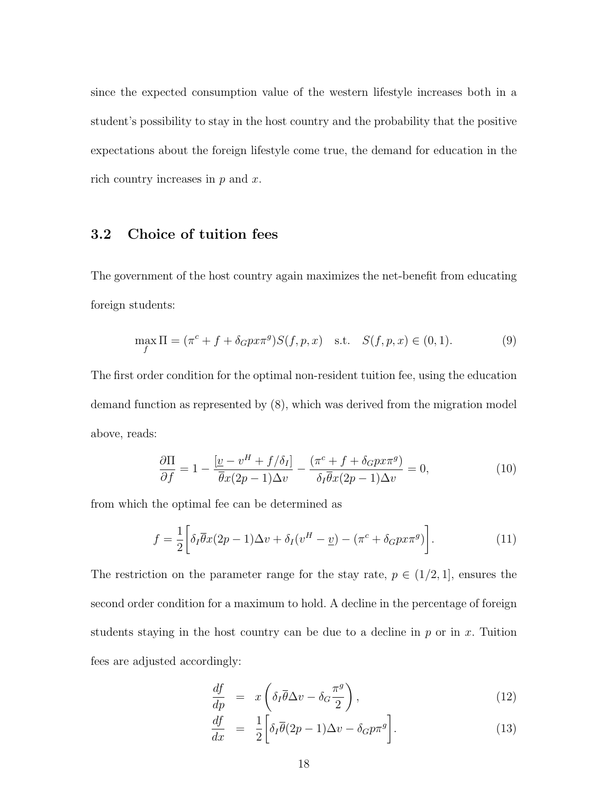since the expected consumption value of the western lifestyle increases both in a student's possibility to stay in the host country and the probability that the positive expectations about the foreign lifestyle come true, the demand for education in the rich country increases in  $p$  and  $x$ .

#### 3.2 Choice of tuition fees

The government of the host country again maximizes the net-benefit from educating foreign students:

$$
\max_{f} \Pi = (\pi^{c} + f + \delta_{G} p x \pi^{g}) S(f, p, x) \text{ s.t. } S(f, p, x) \in (0, 1).
$$
 (9)

The first order condition for the optimal non-resident tuition fee, using the education demand function as represented by (8), which was derived from the migration model above, reads:

$$
\frac{\partial \Pi}{\partial f} = 1 - \frac{[\underline{v} - v^H + f/\delta_I]}{\overline{\theta}x(2p - 1)\Delta v} - \frac{(\pi^c + f + \delta_G p x \pi^g)}{\delta_I \overline{\theta}x(2p - 1)\Delta v} = 0,\tag{10}
$$

from which the optimal fee can be determined as

$$
f = \frac{1}{2} \left[ \delta_I \overline{\theta} x (2p - 1) \Delta v + \delta_I (v^H - \underline{v}) - (\pi^c + \delta_G p x \pi^g) \right]. \tag{11}
$$

The restriction on the parameter range for the stay rate,  $p \in (1/2, 1]$ , ensures the second order condition for a maximum to hold. A decline in the percentage of foreign students staying in the host country can be due to a decline in  $p$  or in  $x$ . Tuition fees are adjusted accordingly:

$$
\frac{df}{dp} = x \left( \delta_I \overline{\theta} \Delta v - \delta_G \frac{\pi^g}{2} \right),\tag{12}
$$

$$
\frac{df}{dx} = \frac{1}{2} \left[ \delta_I \overline{\theta} (2p - 1) \Delta v - \delta_G p \pi^g \right]. \tag{13}
$$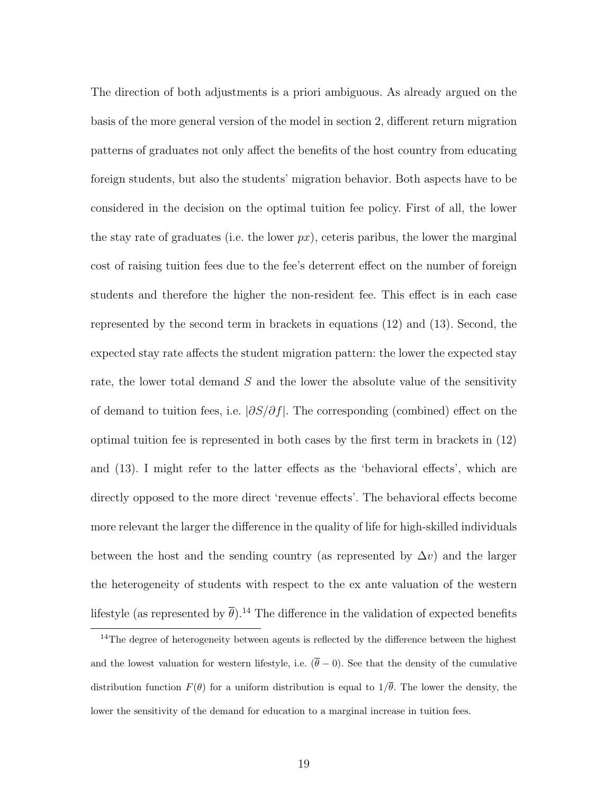The direction of both adjustments is a priori ambiguous. As already argued on the basis of the more general version of the model in section 2, different return migration patterns of graduates not only affect the benefits of the host country from educating foreign students, but also the students' migration behavior. Both aspects have to be considered in the decision on the optimal tuition fee policy. First of all, the lower the stay rate of graduates (i.e. the lower  $px$ ), ceteris paribus, the lower the marginal cost of raising tuition fees due to the fee's deterrent effect on the number of foreign students and therefore the higher the non-resident fee. This effect is in each case represented by the second term in brackets in equations (12) and (13). Second, the expected stay rate affects the student migration pattern: the lower the expected stay rate, the lower total demand  $S$  and the lower the absolute value of the sensitivity of demand to tuition fees, i.e.  $|\partial S/\partial f|$ . The corresponding (combined) effect on the optimal tuition fee is represented in both cases by the first term in brackets in (12) and (13). I might refer to the latter effects as the 'behavioral effects', which are directly opposed to the more direct 'revenue effects'. The behavioral effects become more relevant the larger the difference in the quality of life for high-skilled individuals between the host and the sending country (as represented by  $\Delta v$ ) and the larger the heterogeneity of students with respect to the ex ante valuation of the western lifestyle (as represented by  $\bar{\theta}$ ).<sup>14</sup> The difference in the validation of expected benefits

<sup>&</sup>lt;sup>14</sup>The degree of heterogeneity between agents is reflected by the difference between the highest and the lowest valuation for western lifestyle, i.e.  $(\bar{\theta}-0)$ . See that the density of the cumulative distribution function  $F(\theta)$  for a uniform distribution is equal to  $1/\overline{\theta}$ . The lower the density, the lower the sensitivity of the demand for education to a marginal increase in tuition fees.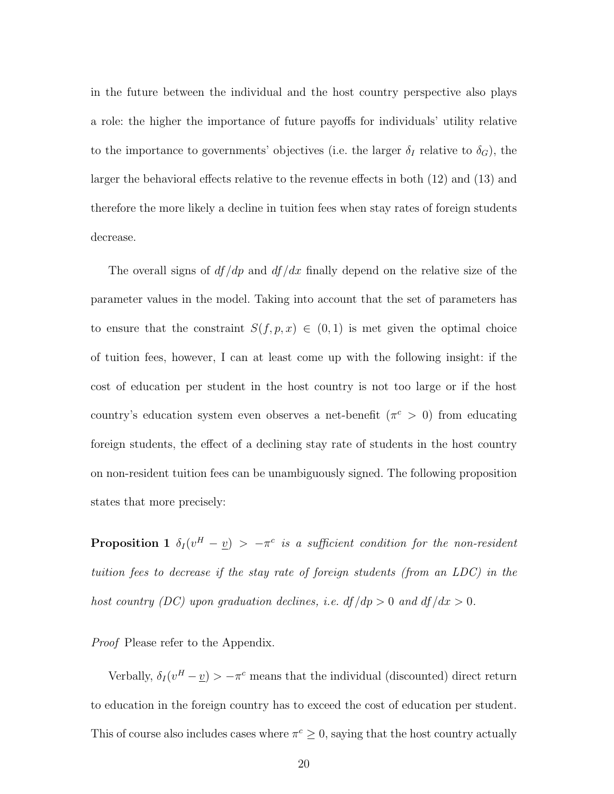in the future between the individual and the host country perspective also plays a role: the higher the importance of future payoffs for individuals' utility relative to the importance to governments' objectives (i.e. the larger  $\delta_I$  relative to  $\delta_G$ ), the larger the behavioral effects relative to the revenue effects in both (12) and (13) and therefore the more likely a decline in tuition fees when stay rates of foreign students decrease.

The overall signs of  $df/dp$  and  $df/dx$  finally depend on the relative size of the parameter values in the model. Taking into account that the set of parameters has to ensure that the constraint  $S(f, p, x) \in (0, 1)$  is met given the optimal choice of tuition fees, however, I can at least come up with the following insight: if the cost of education per student in the host country is not too large or if the host country's education system even observes a net-benefit  $(\pi^c > 0)$  from educating foreign students, the effect of a declining stay rate of students in the host country on non-resident tuition fees can be unambiguously signed. The following proposition states that more precisely:

**Proposition 1**  $\delta_I(v^H - v) > -\pi^c$  is a sufficient condition for the non-resident tuition fees to decrease if the stay rate of foreign students (from an LDC) in the host country (DC) upon graduation declines, i.e.  $df/dp > 0$  and  $df/dx > 0$ .

*Proof* Please refer to the Appendix.

Verbally,  $\delta_I(v^H - v) > -\pi^c$  means that the individual (discounted) direct return to education in the foreign country has to exceed the cost of education per student. This of course also includes cases where  $\pi^c \geq 0$ , saying that the host country actually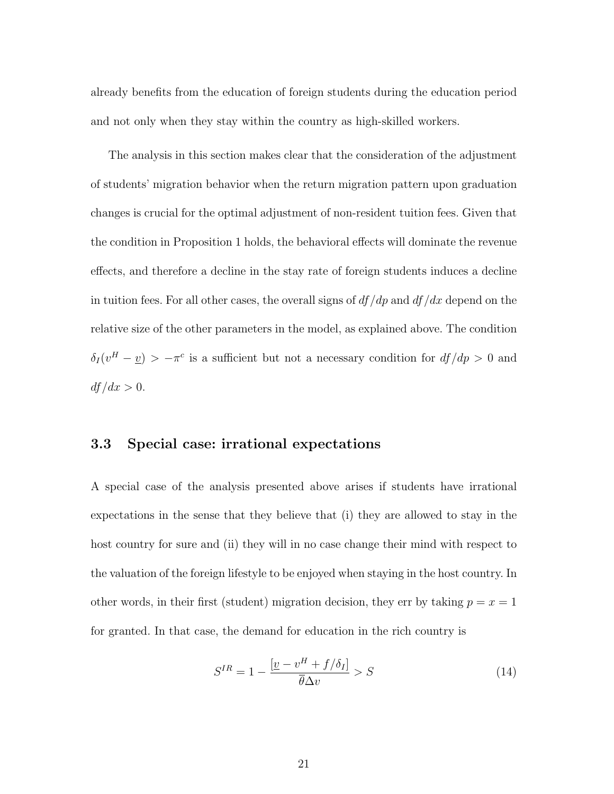already benefits from the education of foreign students during the education period and not only when they stay within the country as high-skilled workers.

The analysis in this section makes clear that the consideration of the adjustment of students' migration behavior when the return migration pattern upon graduation changes is crucial for the optimal adjustment of non-resident tuition fees. Given that the condition in Proposition 1 holds, the behavioral effects will dominate the revenue effects, and therefore a decline in the stay rate of foreign students induces a decline in tuition fees. For all other cases, the overall signs of  $df/dp$  and  $df/dx$  depend on the relative size of the other parameters in the model, as explained above. The condition  $\delta_I(v^H - v) > -\pi^c$  is a sufficient but not a necessary condition for  $df/dp > 0$  and  $df/dx > 0.$ 

#### 3.3 Special case: irrational expectations

A special case of the analysis presented above arises if students have irrational expectations in the sense that they believe that (i) they are allowed to stay in the host country for sure and (ii) they will in no case change their mind with respect to the valuation of the foreign lifestyle to be enjoyed when staying in the host country. In other words, in their first (student) migration decision, they err by taking  $p = x = 1$ for granted. In that case, the demand for education in the rich country is

$$
S^{IR} = 1 - \frac{\left[\underline{v} - \underline{v}^H + f/\delta_I\right]}{\overline{\theta}\Delta v} > S \tag{14}
$$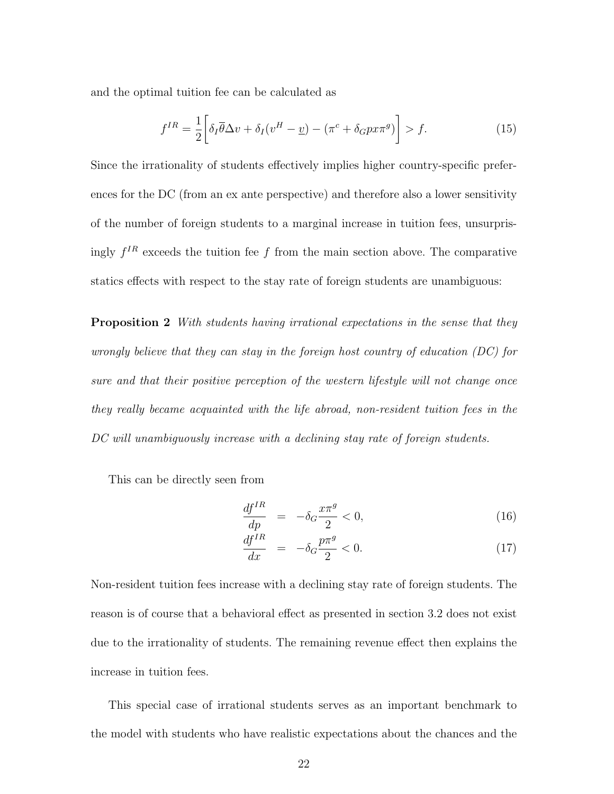and the optimal tuition fee can be calculated as

$$
f^{IR} = \frac{1}{2} \left[ \delta_I \overline{\theta} \Delta v + \delta_I (v^H - \underline{v}) - (\pi^c + \delta_G p x \pi^g) \right] > f. \tag{15}
$$

Since the irrationality of students effectively implies higher country-specific preferences for the DC (from an ex ante perspective) and therefore also a lower sensitivity of the number of foreign students to a marginal increase in tuition fees, unsurprisingly  $f^{IR}$  exceeds the tuition fee f from the main section above. The comparative statics effects with respect to the stay rate of foreign students are unambiguous:

**Proposition 2** With students having irrational expectations in the sense that they wrongly believe that they can stay in the foreign host country of education (DC) for sure and that their positive perception of the western lifestyle will not change once they really became acquainted with the life abroad, non-resident tuition fees in the DC will unambiguously increase with a declining stay rate of foreign students.

This can be directly seen from

$$
\frac{df^{IR}}{dp} = -\delta_G \frac{x\pi^g}{2} < 0,\tag{16}
$$

$$
\frac{df^{IR}}{dx} = -\delta_G \frac{p\pi^g}{2} < 0. \tag{17}
$$

Non-resident tuition fees increase with a declining stay rate of foreign students. The reason is of course that a behavioral effect as presented in section 3.2 does not exist due to the irrationality of students. The remaining revenue effect then explains the increase in tuition fees.

This special case of irrational students serves as an important benchmark to the model with students who have realistic expectations about the chances and the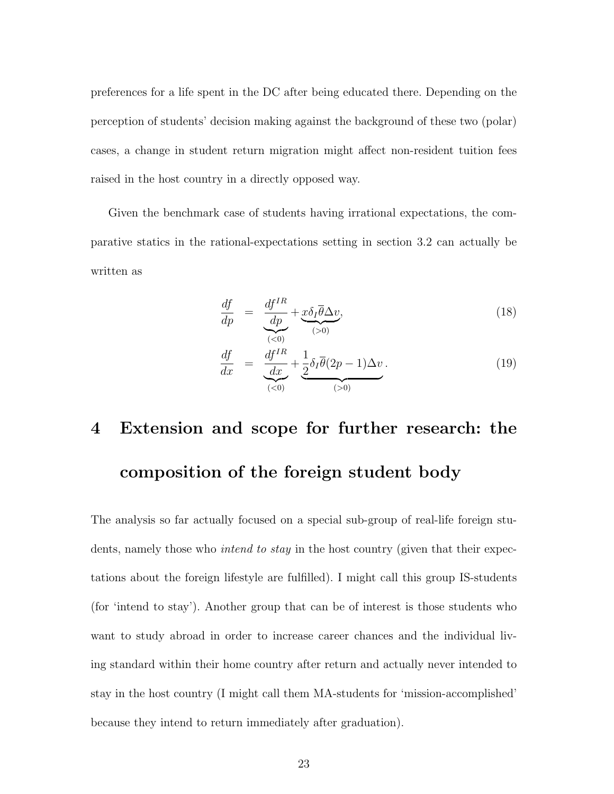preferences for a life spent in the DC after being educated there. Depending on the perception of students' decision making against the background of these two (polar) cases, a change in student return migration might affect non-resident tuition fees raised in the host country in a directly opposed way.

Given the benchmark case of students having irrational expectations, the comparative statics in the rational-expectations setting in section 3.2 can actually be written as

$$
\frac{df}{dp} = \underbrace{\frac{df^{IR}}{dp} + \underbrace{x\delta_I \overline{\theta} \Delta v}_{(>0)}},\tag{18}
$$

$$
\frac{df}{dx} = \frac{\frac{df^{IR}}{dx} + \frac{1}{2}\delta_I \overline{\theta}(2p-1)\Delta v}{\underbrace{(0,0)}\cdot\frac{(0,0)}{(0,0)}}.
$$
\n(19)

## 4 Extension and scope for further research: the composition of the foreign student body

The analysis so far actually focused on a special sub-group of real-life foreign students, namely those who *intend to stay* in the host country (given that their expectations about the foreign lifestyle are fulfilled). I might call this group IS-students (for 'intend to stay'). Another group that can be of interest is those students who want to study abroad in order to increase career chances and the individual living standard within their home country after return and actually never intended to stay in the host country (I might call them MA-students for 'mission-accomplished' because they intend to return immediately after graduation).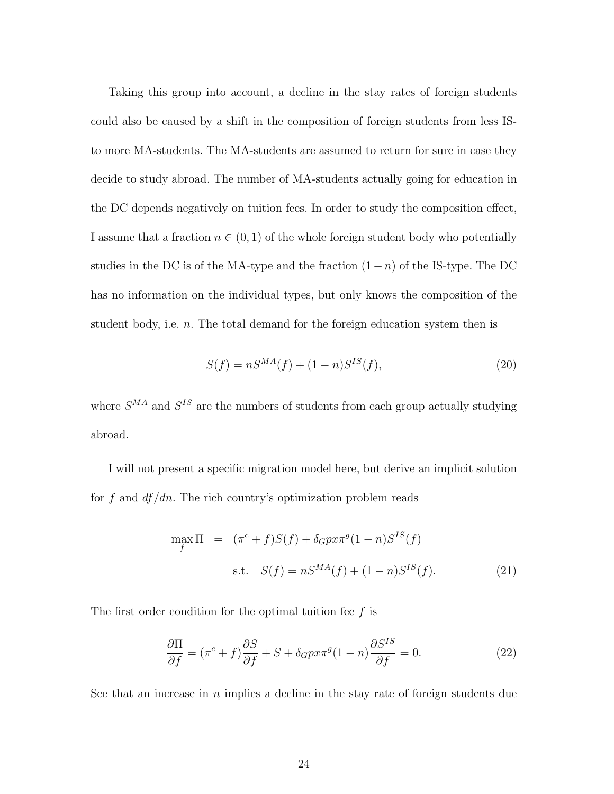Taking this group into account, a decline in the stay rates of foreign students could also be caused by a shift in the composition of foreign students from less ISto more MA-students. The MA-students are assumed to return for sure in case they decide to study abroad. The number of MA-students actually going for education in the DC depends negatively on tuition fees. In order to study the composition effect, I assume that a fraction  $n \in (0, 1)$  of the whole foreign student body who potentially studies in the DC is of the MA-type and the fraction  $(1-n)$  of the IS-type. The DC has no information on the individual types, but only knows the composition of the student body, i.e. *n*. The total demand for the foreign education system then is

$$
S(f) = nS^{MA}(f) + (1 - n)S^{IS}(f),
$$
\n(20)

where  $S^{MA}$  and  $S^{IS}$  are the numbers of students from each group actually studying abroad.

I will not present a specific migration model here, but derive an implicit solution for f and  $df/dn$ . The rich country's optimization problem reads

$$
\max_{f} \Pi = (\pi^{c} + f)S(f) + \delta_{G} p x \pi^{g} (1 - n)S^{IS}(f)
$$
  
s.t.  $S(f) = nS^{MA}(f) + (1 - n)S^{IS}(f).$  (21)

The first order condition for the optimal tuition fee  $f$  is

$$
\frac{\partial \Pi}{\partial f} = (\pi^c + f) \frac{\partial S}{\partial f} + S + \delta_G p x \pi^g (1 - n) \frac{\partial S^{IS}}{\partial f} = 0.
$$
 (22)

See that an increase in  $n$  implies a decline in the stay rate of foreign students due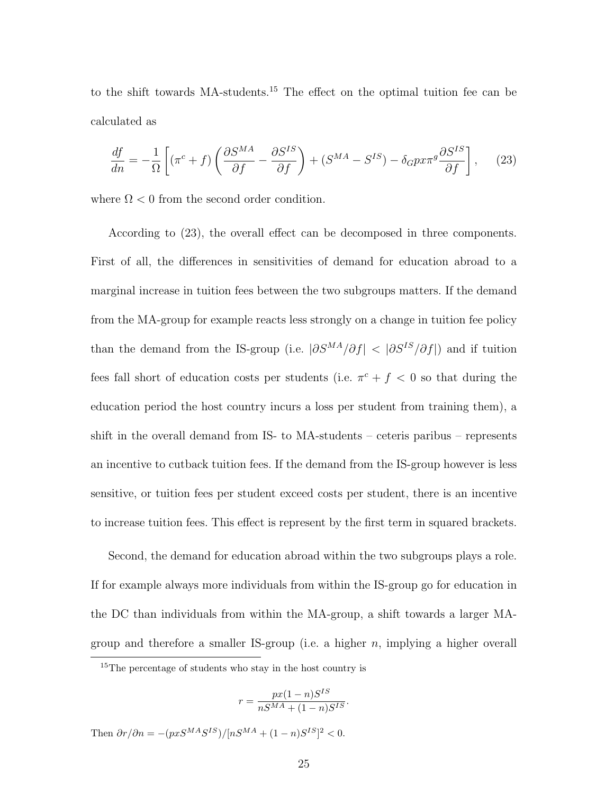to the shift towards MA-students.<sup>15</sup> The effect on the optimal tuition fee can be calculated as

$$
\frac{df}{dn} = -\frac{1}{\Omega} \left[ (\pi^c + f) \left( \frac{\partial S^{MA}}{\partial f} - \frac{\partial S^{IS}}{\partial f} \right) + (S^{MA} - S^{IS}) - \delta_G p x \pi^g \frac{\partial S^{IS}}{\partial f} \right], \quad (23)
$$

where  $\Omega$  < 0 from the second order condition.

According to (23), the overall effect can be decomposed in three components. First of all, the differences in sensitivities of demand for education abroad to a marginal increase in tuition fees between the two subgroups matters. If the demand from the MA-group for example reacts less strongly on a change in tuition fee policy than the demand from the IS-group (i.e.  $|\partial S^{MA}/\partial f|$  <  $|\partial S^{IS}/\partial f|$ ) and if tuition fees fall short of education costs per students (i.e.  $\pi^{c} + f < 0$  so that during the education period the host country incurs a loss per student from training them), a shift in the overall demand from IS- to MA-students – ceteris paribus – represents an incentive to cutback tuition fees. If the demand from the IS-group however is less sensitive, or tuition fees per student exceed costs per student, there is an incentive to increase tuition fees. This effect is represent by the first term in squared brackets.

Second, the demand for education abroad within the two subgroups plays a role. If for example always more individuals from within the IS-group go for education in the DC than individuals from within the MA-group, a shift towards a larger MAgroup and therefore a smaller IS-group (i.e. a higher  $n$ , implying a higher overall

$$
r = \frac{px(1-n)S^{IS}}{nS^{MA} + (1-n)S^{IS}}.
$$

Then  $\partial r/\partial n = -(pxS^{MA}S^{IS})/[nS^{MA} + (1-n)S^{IS}]^2 < 0.$ 

<sup>15</sup>The percentage of students who stay in the host country is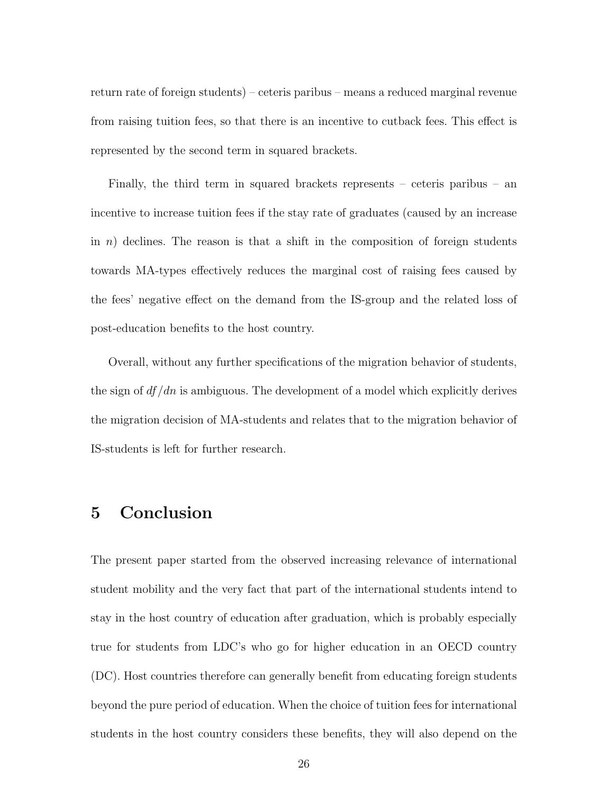return rate of foreign students) – ceteris paribus – means a reduced marginal revenue from raising tuition fees, so that there is an incentive to cutback fees. This effect is represented by the second term in squared brackets.

Finally, the third term in squared brackets represents – ceteris paribus – an incentive to increase tuition fees if the stay rate of graduates (caused by an increase in n) declines. The reason is that a shift in the composition of foreign students towards MA-types effectively reduces the marginal cost of raising fees caused by the fees' negative effect on the demand from the IS-group and the related loss of post-education benefits to the host country.

Overall, without any further specifications of the migration behavior of students, the sign of  $df/dn$  is ambiguous. The development of a model which explicitly derives the migration decision of MA-students and relates that to the migration behavior of IS-students is left for further research.

## 5 Conclusion

The present paper started from the observed increasing relevance of international student mobility and the very fact that part of the international students intend to stay in the host country of education after graduation, which is probably especially true for students from LDC's who go for higher education in an OECD country (DC). Host countries therefore can generally benefit from educating foreign students beyond the pure period of education. When the choice of tuition fees for international students in the host country considers these benefits, they will also depend on the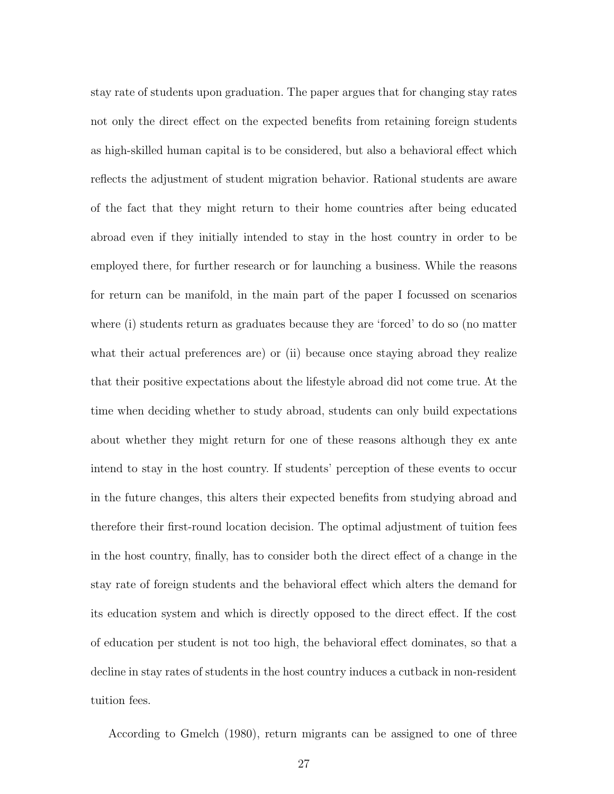stay rate of students upon graduation. The paper argues that for changing stay rates not only the direct effect on the expected benefits from retaining foreign students as high-skilled human capital is to be considered, but also a behavioral effect which reflects the adjustment of student migration behavior. Rational students are aware of the fact that they might return to their home countries after being educated abroad even if they initially intended to stay in the host country in order to be employed there, for further research or for launching a business. While the reasons for return can be manifold, in the main part of the paper I focussed on scenarios where (i) students return as graduates because they are 'forced' to do so (no matter what their actual preferences are) or (ii) because once staying abroad they realize that their positive expectations about the lifestyle abroad did not come true. At the time when deciding whether to study abroad, students can only build expectations about whether they might return for one of these reasons although they ex ante intend to stay in the host country. If students' perception of these events to occur in the future changes, this alters their expected benefits from studying abroad and therefore their first-round location decision. The optimal adjustment of tuition fees in the host country, finally, has to consider both the direct effect of a change in the stay rate of foreign students and the behavioral effect which alters the demand for its education system and which is directly opposed to the direct effect. If the cost of education per student is not too high, the behavioral effect dominates, so that a decline in stay rates of students in the host country induces a cutback in non-resident tuition fees.

According to Gmelch (1980), return migrants can be assigned to one of three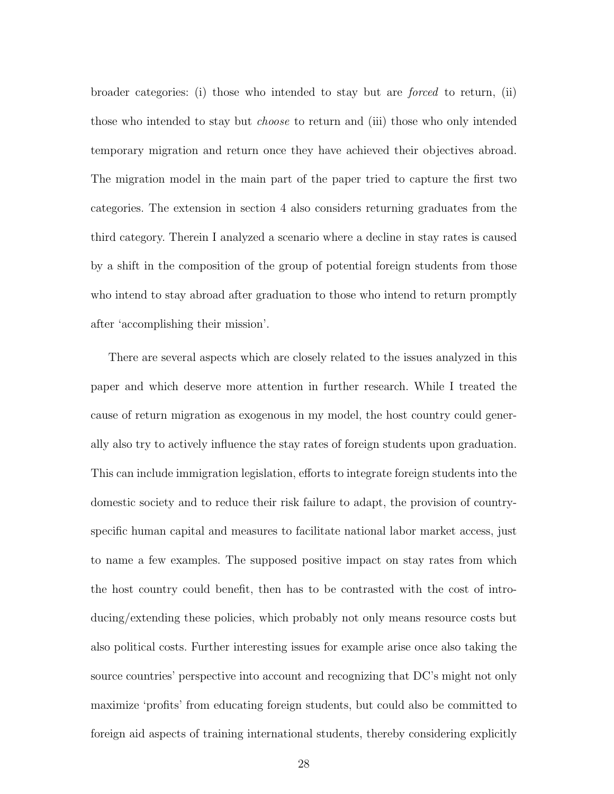broader categories: (i) those who intended to stay but are forced to return, (ii) those who intended to stay but choose to return and (iii) those who only intended temporary migration and return once they have achieved their objectives abroad. The migration model in the main part of the paper tried to capture the first two categories. The extension in section 4 also considers returning graduates from the third category. Therein I analyzed a scenario where a decline in stay rates is caused by a shift in the composition of the group of potential foreign students from those who intend to stay abroad after graduation to those who intend to return promptly after 'accomplishing their mission'.

There are several aspects which are closely related to the issues analyzed in this paper and which deserve more attention in further research. While I treated the cause of return migration as exogenous in my model, the host country could generally also try to actively influence the stay rates of foreign students upon graduation. This can include immigration legislation, efforts to integrate foreign students into the domestic society and to reduce their risk failure to adapt, the provision of countryspecific human capital and measures to facilitate national labor market access, just to name a few examples. The supposed positive impact on stay rates from which the host country could benefit, then has to be contrasted with the cost of introducing/extending these policies, which probably not only means resource costs but also political costs. Further interesting issues for example arise once also taking the source countries' perspective into account and recognizing that DC's might not only maximize 'profits' from educating foreign students, but could also be committed to foreign aid aspects of training international students, thereby considering explicitly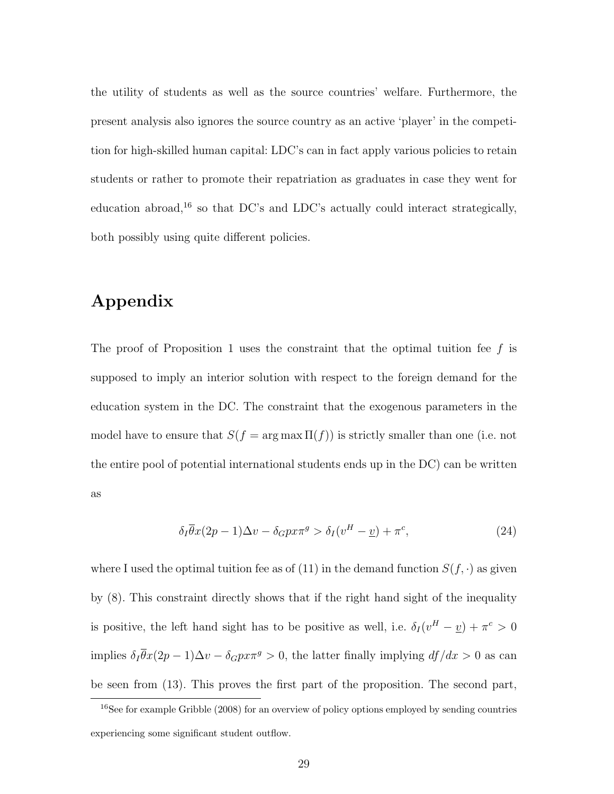the utility of students as well as the source countries' welfare. Furthermore, the present analysis also ignores the source country as an active 'player' in the competition for high-skilled human capital: LDC's can in fact apply various policies to retain students or rather to promote their repatriation as graduates in case they went for education abroad,<sup>16</sup> so that DC's and LDC's actually could interact strategically, both possibly using quite different policies.

## Appendix

The proof of Proposition 1 uses the constraint that the optimal tuition fee  $f$  is supposed to imply an interior solution with respect to the foreign demand for the education system in the DC. The constraint that the exogenous parameters in the model have to ensure that  $S(f = \arg \max \Pi(f))$  is strictly smaller than one (i.e. not the entire pool of potential international students ends up in the DC) can be written as

$$
\delta_I \overline{\theta} x (2p - 1) \Delta v - \delta_G p x \pi^g > \delta_I (v^H - \underline{v}) + \pi^c, \tag{24}
$$

where I used the optimal tuition fee as of (11) in the demand function  $S(f, \cdot)$  as given by (8). This constraint directly shows that if the right hand sight of the inequality is positive, the left hand sight has to be positive as well, i.e.  $\delta_I (v^H - v) + \pi^c > 0$ implies  $\delta_I \overline{\theta} x (2p - 1) \Delta v - \delta_G p x \pi^g > 0$ , the latter finally implying  $df/dx > 0$  as can be seen from (13). This proves the first part of the proposition. The second part,

<sup>&</sup>lt;sup>16</sup>See for example Gribble (2008) for an overview of policy options employed by sending countries experiencing some significant student outflow.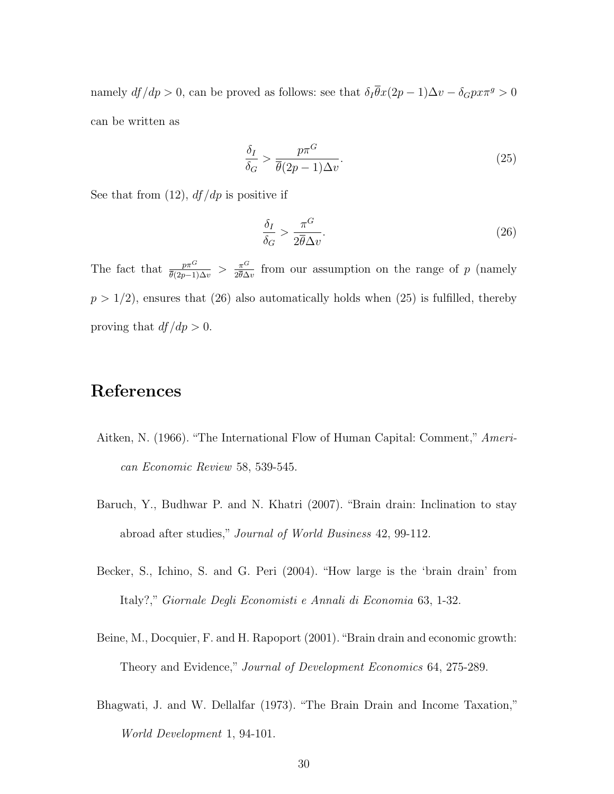namely  $df/dp > 0$ , can be proved as follows: see that  $\delta_I \bar{\theta}x(2p-1)\Delta v - \delta_G p x \pi^g > 0$ can be written as

$$
\frac{\delta_I}{\delta_G} > \frac{p\pi^G}{\overline{\theta}(2p-1)\Delta v}.\tag{25}
$$

See that from  $(12)$ ,  $df/dp$  is positive if

$$
\frac{\delta_I}{\delta_G} > \frac{\pi^G}{2\overline{\theta}\Delta v}.\tag{26}
$$

The fact that  $\frac{p\pi^G}{\bar{\theta}(2p-1)\Delta v} > \frac{\pi^G}{2\bar{\theta}\Delta}$  $\frac{\pi^{\mathcal{O}}}{2\theta\Delta v}$  from our assumption on the range of p (namely  $p > 1/2$ , ensures that (26) also automatically holds when (25) is fulfilled, thereby proving that  $df/dp > 0$ .

## References

- Aitken, N. (1966). "The International Flow of Human Capital: Comment," American Economic Review 58, 539-545.
- Baruch, Y., Budhwar P. and N. Khatri (2007). "Brain drain: Inclination to stay abroad after studies," Journal of World Business 42, 99-112.
- Becker, S., Ichino, S. and G. Peri (2004). "How large is the 'brain drain' from Italy?," Giornale Degli Economisti e Annali di Economia 63, 1-32.
- Beine, M., Docquier, F. and H. Rapoport (2001)."Brain drain and economic growth: Theory and Evidence," Journal of Development Economics 64, 275-289.
- Bhagwati, J. and W. Dellalfar (1973). "The Brain Drain and Income Taxation," World Development 1, 94-101.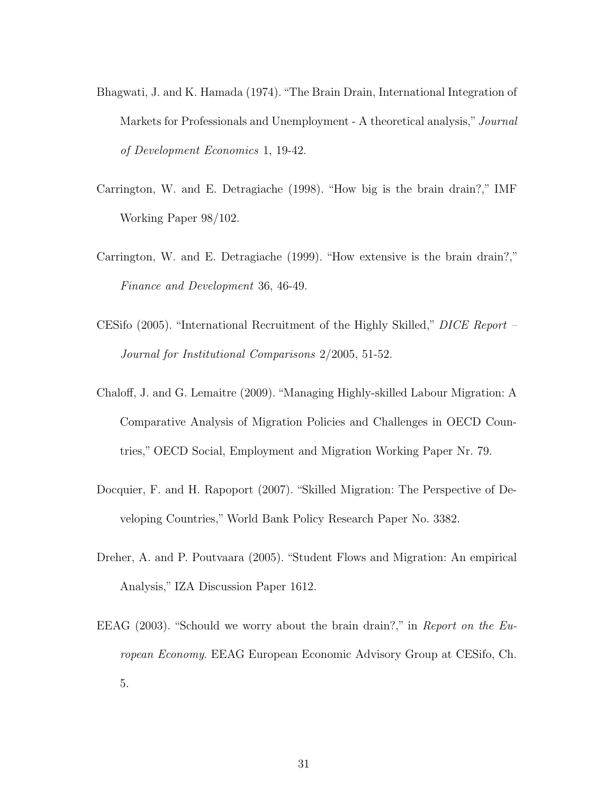- Bhagwati, J. and K. Hamada (1974)."The Brain Drain, International Integration of Markets for Professionals and Unemployment - A theoretical analysis," Journal of Development Economics 1, 19-42.
- Carrington, W. and E. Detragiache (1998). "How big is the brain drain?," IMF Working Paper 98/102.
- Carrington, W. and E. Detragiache (1999). "How extensive is the brain drain?," Finance and Development 36, 46-49.
- CESifo (2005). "International Recruitment of the Highly Skilled," DICE Report Journal for Institutional Comparisons 2/2005, 51-52.
- Chaloff, J. and G. Lemaitre (2009). "Managing Highly-skilled Labour Migration: A Comparative Analysis of Migration Policies and Challenges in OECD Countries," OECD Social, Employment and Migration Working Paper Nr. 79.
- Docquier, F. and H. Rapoport (2007). "Skilled Migration: The Perspective of Developing Countries," World Bank Policy Research Paper No. 3382.
- Dreher, A. and P. Poutvaara (2005). "Student Flows and Migration: An empirical Analysis," IZA Discussion Paper 1612.
- EEAG (2003). "Schould we worry about the brain drain?," in Report on the European Economy. EEAG European Economic Advisory Group at CESifo, Ch. 5.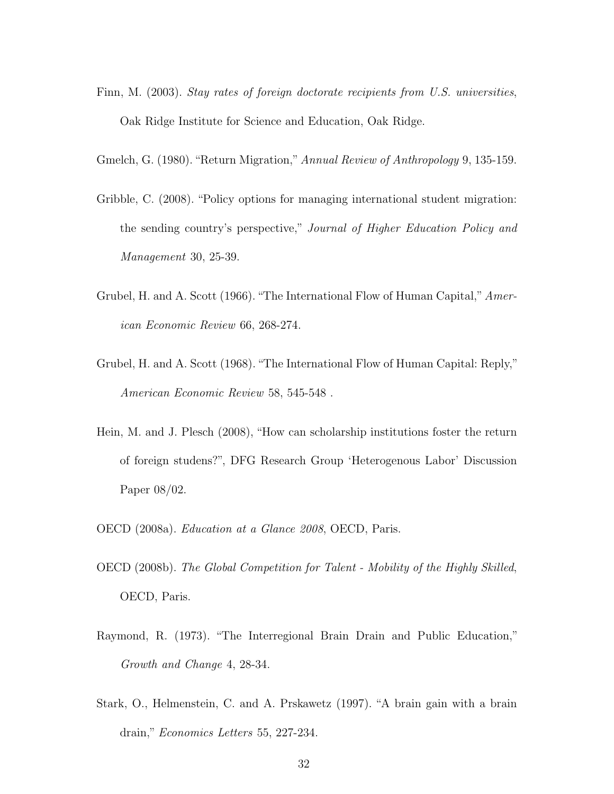- Finn, M. (2003). Stay rates of foreign doctorate recipients from U.S. universities, Oak Ridge Institute for Science and Education, Oak Ridge.
- Gmelch, G. (1980). "Return Migration,"Annual Review of Anthropology 9, 135-159.
- Gribble, C. (2008). "Policy options for managing international student migration: the sending country's perspective," Journal of Higher Education Policy and Management 30, 25-39.
- Grubel, H. and A. Scott (1966). "The International Flow of Human Capital," American Economic Review 66, 268-274.
- Grubel, H. and A. Scott (1968). "The International Flow of Human Capital: Reply," American Economic Review 58, 545-548 .
- Hein, M. and J. Plesch (2008), "How can scholarship institutions foster the return of foreign studens?", DFG Research Group 'Heterogenous Labor' Discussion Paper 08/02.
- OECD (2008a). Education at a Glance 2008, OECD, Paris.
- OECD (2008b). The Global Competition for Talent Mobility of the Highly Skilled, OECD, Paris.
- Raymond, R. (1973). "The Interregional Brain Drain and Public Education," Growth and Change 4, 28-34.
- Stark, O., Helmenstein, C. and A. Prskawetz (1997). "A brain gain with a brain drain," Economics Letters 55, 227-234.